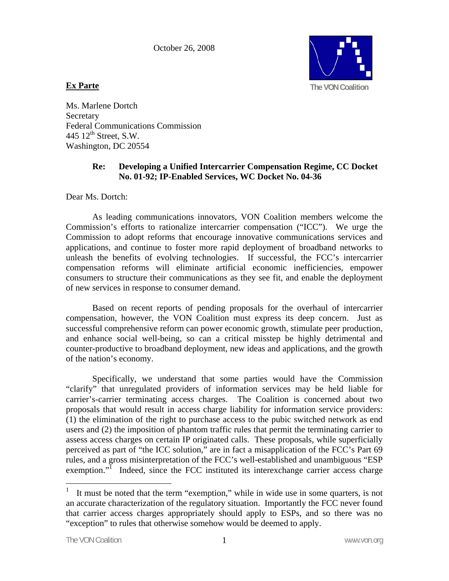October 26, 2008



## **Ex Parte**

Ms. Marlene Dortch Secretary Federal Communications Commission 445  $12^{\text{th}}$  Street, S.W. Washington, DC 20554

## **Re: Developing a Unified Intercarrier Compensation Regime, CC Docket No. 01-92; IP-Enabled Services, WC Docket No. 04-36**

Dear Ms. Dortch:

 As leading communications innovators, VON Coalition members welcome the Commission's efforts to rationalize intercarrier compensation ("ICC"). We urge the Commission to adopt reforms that encourage innovative communications services and applications, and continue to foster more rapid deployment of broadband networks to unleash the benefits of evolving technologies. If successful, the FCC's intercarrier compensation reforms will eliminate artificial economic inefficiencies, empower consumers to structure their communications as they see fit, and enable the deployment of new services in response to consumer demand.

 Based on recent reports of pending proposals for the overhaul of intercarrier compensation, however, the VON Coalition must express its deep concern. Just as successful comprehensive reform can power economic growth, stimulate peer production, and enhance social well-being, so can a critical misstep be highly detrimental and counter-productive to broadband deployment, new ideas and applications, and the growth of the nation's economy.

 Specifically, we understand that some parties would have the Commission "clarify" that unregulated providers of information services may be held liable for carrier's-carrier terminating access charges. The Coalition is concerned about two proposals that would result in access charge liability for information service providers: (1) the elimination of the right to purchase access to the pubic switched network as end users and (2) the imposition of phantom traffic rules that permit the terminating carrier to assess access charges on certain IP originated calls. These proposals, while superficially perceived as part of "the ICC solution," are in fact a misapplication of the FCC's Part 69 rules, and a gross misinterpretation of the FCC's well-established and unambiguous "ESP exemption. $\overline{N}$  Indeed, since the FCC instituted its interexchange carrier access charge

 $\overline{a}$ 

<sup>1</sup> It must be noted that the term "exemption," while in wide use in some quarters, is not an accurate characterization of the regulatory situation. Importantly the FCC never found that carrier access charges appropriately should apply to ESPs, and so there was no "exception" to rules that otherwise somehow would be deemed to apply.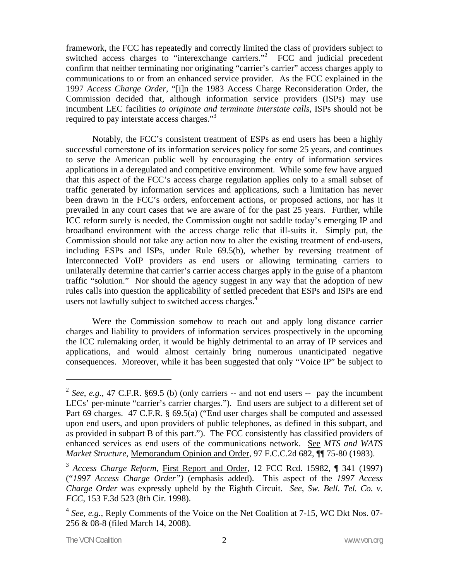framework, the FCC has repeatedly and correctly limited the class of providers subject to switched access charges to "interexchange carriers."<sup>2</sup> FCC and judicial precedent confirm that neither terminating nor originating "carrier's carrier" access charges apply to communications to or from an enhanced service provider. As the FCC explained in the 1997 *Access Charge Order*, "[i]n the 1983 Access Charge Reconsideration Order, the Commission decided that, although information service providers (ISPs) may use incumbent LEC facilities *to originate and terminate interstate calls*, ISPs should not be required to pay interstate access charges."<sup>3</sup>

Notably, the FCC's consistent treatment of ESPs as end users has been a highly successful cornerstone of its information services policy for some 25 years, and continues to serve the American public well by encouraging the entry of information services applications in a deregulated and competitive environment. While some few have argued that this aspect of the FCC's access charge regulation applies only to a small subset of traffic generated by information services and applications, such a limitation has never been drawn in the FCC's orders, enforcement actions, or proposed actions, nor has it prevailed in any court cases that we are aware of for the past 25 years. Further, while ICC reform surely is needed, the Commission ought not saddle today's emerging IP and broadband environment with the access charge relic that ill-suits it. Simply put, the Commission should not take any action now to alter the existing treatment of end-users, including ESPs and ISPs, under Rule 69.5(b), whether by reversing treatment of Interconnected VoIP providers as end users or allowing terminating carriers to unilaterally determine that carrier's carrier access charges apply in the guise of a phantom traffic "solution." Nor should the agency suggest in any way that the adoption of new rules calls into question the applicability of settled precedent that ESPs and ISPs are end users not lawfully subject to switched access charges.<sup>4</sup>

 Were the Commission somehow to reach out and apply long distance carrier charges and liability to providers of information services prospectively in the upcoming the ICC rulemaking order, it would be highly detrimental to an array of IP services and applications, and would almost certainly bring numerous unanticipated negative consequences. Moreover, while it has been suggested that only "Voice IP" be subject to

 $\overline{a}$ 

<sup>&</sup>lt;sup>2</sup> *See, e.g.,* 47 C.F.R. §69.5 (b) (only carriers  $-$  and not end users  $-$  pay the incumbent LECs' per-minute "carrier's carrier charges."). End users are subject to a different set of Part 69 charges. 47 C.F.R. § 69.5(a) ("End user charges shall be computed and assessed upon end users, and upon providers of public telephones, as defined in this subpart, and as provided in subpart B of this part."). The FCC consistently has classified providers of enhanced services as end users of the communications network. See *MTS and WATS Market Structure*, Memorandum Opinion and Order, 97 F.C.C.2d 682, ¶¶ 75-80 (1983).

<sup>3</sup> *Access Charge Reform*, First Report and Order, 12 FCC Rcd. 15982, ¶ 341 (1997) ("*1997 Access Charge Order")* (emphasis added). This aspect of the *1997 Access Charge Order* was expressly upheld by the Eighth Circuit. *See*, *Sw. Bell. Tel. Co. v. FCC*, 153 F.3d 523 (8th Cir. 1998).

<sup>4</sup> *See, e.g.,* Reply Comments of the Voice on the Net Coalition at 7-15, WC Dkt Nos. 07- 256 & 08-8 (filed March 14, 2008).